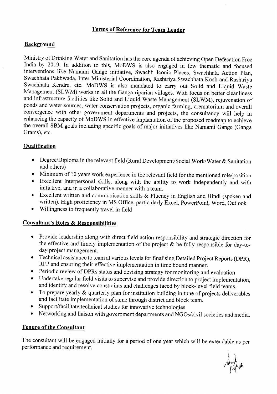## **Terms of Reference for Team Leader**

## **Background**

Ministry of Drinking Water and Sanitation has the core agenda of achieving Open Defecation Free India by 2019. In addition to this, MoDWS is also engaged in few thematic and focused interventions like Namami Gange initiative, Swachh Iconic Places, Swachhata Action Plan, Swachhata Pakhwada, Inter Ministerial Coordination, Rashtriya Swachhata Kosh and Rashtriya Swachhata Kendra, etc. MoDWS is also mandated to carry out Solid and Liquid Waste Management (SLWM) works in all the Ganga riparian villages. With focus on better cleanliness and infrastructure facilities like Solid and Liquid Waste Management (SLWM), rejuvenation of ponds and water sources, water conservation projects, organic farming, crematorium and overall convergence with other government departments and projects, the consultancy will help in enhancing the capacity of MoDWS in effective implantation of the proposed roadmap to achieve the overall SBM goals including specific goals of major initiatives like Namami Gange (Ganga Grams), etc.

### **Qualification**

- Degree/Diploma in the relevant field (Rural Development/Social Work/Water & Sanitation and others)
- Minimum of 10 years work experience in the relevant field for the mentioned role/position
- Excellent interpersonal skills, along with the ability to work independently and with initiative, and in a collaborative manner with a team.
- Excellent written and communication skills & Fluency in English and Hindi (spoken and written). High proficiency in MS Office, particularly Excel, PowerPoint, Word, Outlook
- Willingness to frequently travel in field

### **Consultant's Roles & Responsibilities**

- Provide leadership along with direct field action responsibility and strategic direction for the effective and timely implementation of the project  $\&$  be fully responsible for day-today project management.
- Technical assistance to team at various levels for finalising Detailed Project Reports (DPR), RFP and ensuring their effective implementation in time bound manner.
- Periodic review of DPRs status and devising strategy for monitoring and evaluation
- Undertake regular field visits to supervise and provide direction to project implementation, and identify and resolve constraints and challenges faced by block-level field teams.
- To prepare yearly & quarterly plan for institution building in tune of projects deliverables and facilitate implementation of same through district and block team.
- Support/facilitate technical studies for innovative technologies
- Networking and liaison with government departments and NGOs/civil societies and media.

# **Tenure of the Consultant**

The consultant will be engaged initially for a period of one year which will be extendable as per performance and requirement.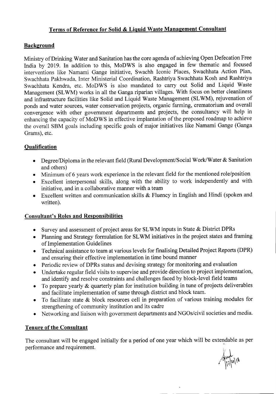## **Terms of Reference for Solid & Liquid Waste Management Consultant**

# **Background**

Ministry of Drinking Water and Sanitation has the core agenda of achieving Open Defecation Free India by 2019. In addition to this, MoDWS is also engaged in few thematic and focused interventions like Namami Gange initiative, Swachh Iconic Places, Swachhata Action Plan, Swachhata Pakhwada, Inter Ministerial Coordination, Rashtriya Swachhata Kosh and Rashtriya Swachhata Kendra, etc. MoDWS is also mandated to carry out Solid and Liquid Waste Management (SLWM) works in all the Ganga riparian villages. With focus on better cleanliness and infrastructure facilities like Solid and Liquid Waste Management (SLWM), rejuvenation of ponds and water sources, water conservation projects, organic farming, crematorium and overall convergence with other government departments and projects, the consultancy will help in enhancing the capacity of MoDWS in effective implantation of the proposed roadmap to achieve the overall SBM goals including specific goals of major initiatives like Namami Gange (Ganga Grams), etc.

# **Qualification**

- Degree/Diploma in the relevant field (Rural Development/Social Work/Water & Sanitation and others)
- Minimum of 6 years work experience in the relevant field for the mentioned role/position
- Excellent interpersonal skills, along with the ability to work independently and with initiative, and in a collaborative manner with a team
- Excellent written and communication skills & Fluency in English and Hindi (spoken and written).

# **Consultant's Roles and Responsibilities**

- Survey and assessment of project areas for SLWM inputs in State & District DPRs
- Planning and Strategy formulation for SLWM initiatives in the project states and framing of Implementation Guidelines
- Technical assistance to team at various levels for finalising Detailed Project Reports (DPR) and ensuring their effective implementation in time bound manner
- Periodic review of DPRs status and devising strategy for monitoring and evaluation
- Undertake regular field visits to supervise and provide direction to project implementation, and identify and resolve constraints and challenges faced by block-level field teams
- To prepare yearly  $\&$  quarterly plan for institution building in tune of projects deliverables and facilitate implementation of same through district and block team.
- To facilitate state & block resources cell in preparation of various training modules for strengthening of community institution and its cadre
- Networking and liaison with government departments and NGOs/civil societies and media.

# **Tenure of the Consultant**

The consultant will be engaged initially for a period of one year which will be extendable as per performance and requirement.

------- -

 $\sqrt[10]{\frac{1}{12}}$ u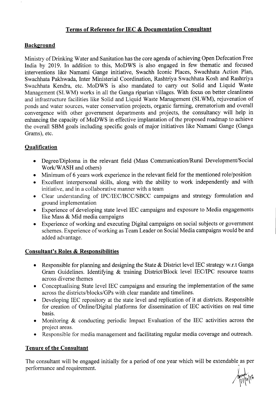## **Terms of Reference for IEC & Documentation Consultant**

#### **Background**

Ministry of Drinking Water and Sanitation has the core agenda of achieving Open Defecation Free India by 2019. In addition to this, MoDWS is also engaged in few thematic and focused interventions like Namami Gange initiative, Swachh Iconic Places, Swachhata Action Plan, Swachhata Pakhwada, Inter Ministerial Coordination, Rashtriya Swachhata Kosh and Rashtriya Swachhata Kendra, etc. MoDWS is also mandated to carry out Solid and Liquid Waste Management (SLWM) works in all the Ganga riparian villages. With focus on better cleanliness and infrastructure facilities like Solid and Liquid Waste Management (SLWM), rejuvenation of ponds and water sources, water conservation projects, organic farming, crematorium and overall convergence with other government departments and projects, the consultancy will help in enhancing the capacity of MoDWS in effective implantation of the proposed roadmap to achieve the overall SBM goals including specific goals of major initiatives like Namami Gange (Ganga Grams), etc.

# **Qualification**

- Degree/Diploma in the relevant field (Mass Communication/Rural Development/Social Work/WASH and others)
- Minimum of 6 years work experience in the relevant field for the mentioned role/position
- Excellent interpersonal skills, along with the ability to work independently and with initiative, and in a collaborative manner with a team
- Clear understanding of IPC/IEC/BCC/SBCC campaigns and strategy formulation and ground implementation
- Experience of developing state level IEC campaigns and exposure to Media engagements like Mass & Mid media campaigns
- Experience of working and executing Digital campaigns on social subjects or government schemes. Experience of working as Team Leader on Social Media campaigns would be and added advantage.

### **Consultant's Roles & Responsibilities**

- Responsible for planning and designing the State & District level IEC strategy w.r.t Ganga Gram Guidelines. Identifying & training District/Block level IEC/IPC resource teams across diverse themes
- Conceptualising State level IEC campaigns and ensuring the implementation of the same across the districts/blocks/GPs with clear mandate and timelines.
- Developing IEC repository at the state level and replication of it at districts. Responsible for creation of Online/Digital platforms for dissemination of IEC activities on real time basis.
- Monitoring & conducting periodic Impact Evaluation of the IEC activities across the project areas.
- Responsible for media management and facilitating regular media coverage and outreach.

### **Tenure of the Consultant**

The consultant will be engaged initially for a period of one year which will be extendable as per performance and requirement.

 $\sqrt{\frac{9}{17}}$ [4][6